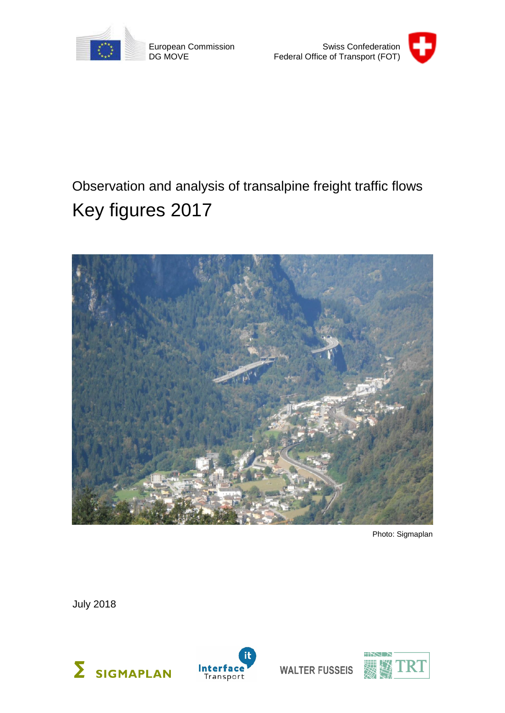

European Commission DG MOVE



# Observation and analysis of transalpine freight traffic flows Key figures 2017



Photo: Sigmaplan

July 2018





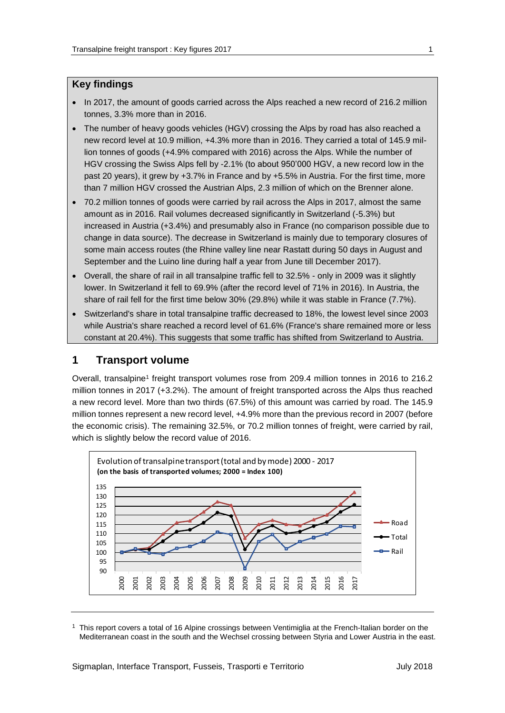#### **Key findings**

- In 2017, the amount of goods carried across the Alps reached a new record of 216.2 million tonnes, 3.3% more than in 2016.
- The number of heavy goods vehicles (HGV) crossing the Alps by road has also reached a new record level at 10.9 million, +4.3% more than in 2016. They carried a total of 145.9 million tonnes of goods (+4.9% compared with 2016) across the Alps. While the number of HGV crossing the Swiss Alps fell by -2.1% (to about 950'000 HGV, a new record low in the past 20 years), it grew by +3.7% in France and by +5.5% in Austria. For the first time, more than 7 million HGV crossed the Austrian Alps, 2.3 million of which on the Brenner alone.
- 70.2 million tonnes of goods were carried by rail across the Alps in 2017, almost the same amount as in 2016. Rail volumes decreased significantly in Switzerland (-5.3%) but increased in Austria (+3.4%) and presumably also in France (no comparison possible due to change in data source). The decrease in Switzerland is mainly due to temporary closures of some main access routes (the Rhine valley line near Rastatt during 50 days in August and September and the Luino line during half a year from June till December 2017).
- Overall, the share of rail in all transalpine traffic fell to 32.5% only in 2009 was it slightly lower. In Switzerland it fell to 69.9% (after the record level of 71% in 2016). In Austria, the share of rail fell for the first time below 30% (29.8%) while it was stable in France (7.7%).
- Switzerland's share in total transalpine traffic decreased to 18%, the lowest level since 2003 while Austria's share reached a record level of 61.6% (France's share remained more or less constant at 20.4%). This suggests that some traffic has shifted from Switzerland to Austria.

#### **1 Transport volume**

Overall, transalpine<sup>1</sup> freight transport volumes rose from 209.4 million tonnes in 2016 to 216.2 million tonnes in 2017 (+3.2%). The amount of freight transported across the Alps thus reached a new record level. More than two thirds (67.5%) of this amount was carried by road. The 145.9 million tonnes represent a new record level, +4.9% more than the previous record in 2007 (before the economic crisis). The remaining 32.5%, or 70.2 million tonnes of freight, were carried by rail, which is slightly below the record value of 2016.



 $1$  This report covers a total of 16 Alpine crossings between Ventimiglia at the French-Italian border on the Mediterranean coast in the south and the Wechsel crossing between Styria and Lower Austria in the east.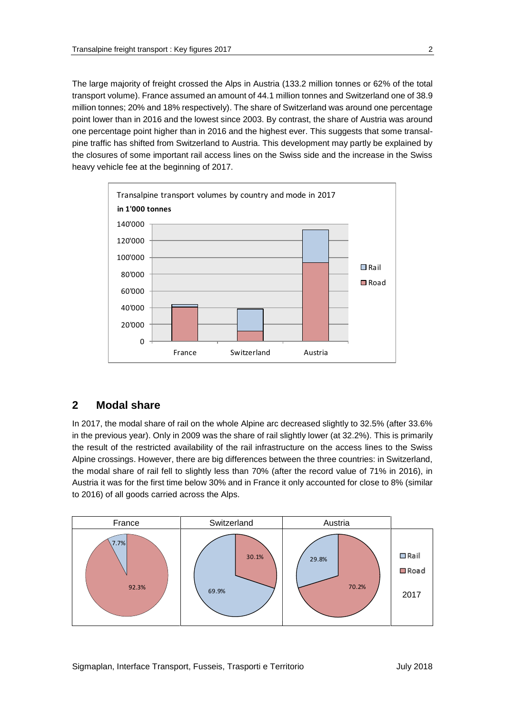The large majority of freight crossed the Alps in Austria (133.2 million tonnes or 62% of the total transport volume). France assumed an amount of 44.1 million tonnes and Switzerland one of 38.9 million tonnes; 20% and 18% respectively). The share of Switzerland was around one percentage point lower than in 2016 and the lowest since 2003. By contrast, the share of Austria was around one percentage point higher than in 2016 and the highest ever. This suggests that some transalpine traffic has shifted from Switzerland to Austria. This development may partly be explained by the closures of some important rail access lines on the Swiss side and the increase in the Swiss heavy vehicle fee at the beginning of 2017.



### **2 Modal share**

In 2017, the modal share of rail on the whole Alpine arc decreased slightly to 32.5% (after 33.6% in the previous year). Only in 2009 was the share of rail slightly lower (at 32.2%). This is primarily the result of the restricted availability of the rail infrastructure on the access lines to the Swiss Alpine crossings. However, there are big differences between the three countries: in Switzerland, the modal share of rail fell to slightly less than 70% (after the record value of 71% in 2016), in Austria it was for the first time below 30% and in France it only accounted for close to 8% (similar to 2016) of all goods carried across the Alps.

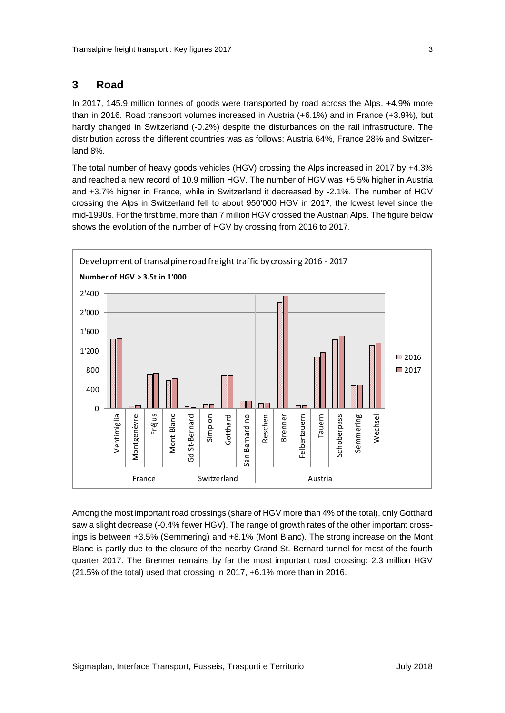## **3 Road**

In 2017, 145.9 million tonnes of goods were transported by road across the Alps, +4.9% more than in 2016. Road transport volumes increased in Austria (+6.1%) and in France (+3.9%), but hardly changed in Switzerland (-0.2%) despite the disturbances on the rail infrastructure. The distribution across the different countries was as follows: Austria 64%, France 28% and Switzerland 8%.

The total number of heavy goods vehicles (HGV) crossing the Alps increased in 2017 by +4.3% and reached a new record of 10.9 million HGV. The number of HGV was +5.5% higher in Austria and +3.7% higher in France, while in Switzerland it decreased by -2.1%. The number of HGV crossing the Alps in Switzerland fell to about 950'000 HGV in 2017, the lowest level since the mid-1990s. For the first time, more than 7 million HGV crossed the Austrian Alps. The figure below shows the evolution of the number of HGV by crossing from 2016 to 2017.



Among the most important road crossings (share of HGV more than 4% of the total), only Gotthard saw a slight decrease (-0.4% fewer HGV). The range of growth rates of the other important crossings is between +3.5% (Semmering) and +8.1% (Mont Blanc). The strong increase on the Mont Blanc is partly due to the closure of the nearby Grand St. Bernard tunnel for most of the fourth quarter 2017. The Brenner remains by far the most important road crossing: 2.3 million HGV (21.5% of the total) used that crossing in 2017, +6.1% more than in 2016.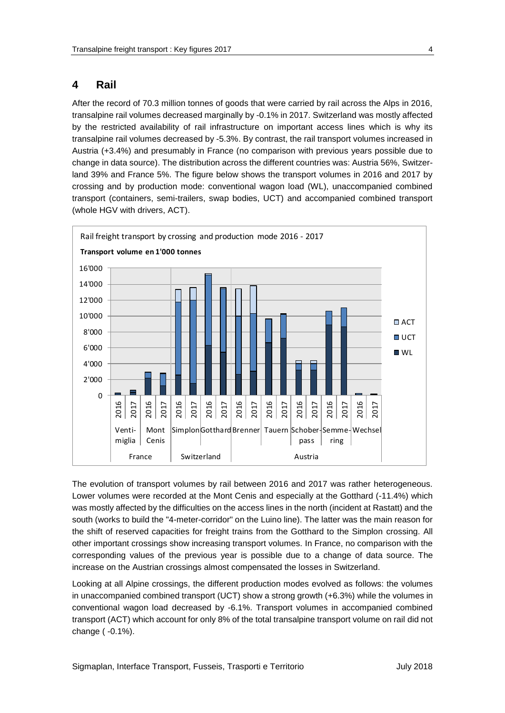#### **4 Rail**

After the record of 70.3 million tonnes of goods that were carried by rail across the Alps in 2016, transalpine rail volumes decreased marginally by -0.1% in 2017. Switzerland was mostly affected by the restricted availability of rail infrastructure on important access lines which is why its transalpine rail volumes decreased by -5.3%. By contrast, the rail transport volumes increased in Austria (+3.4%) and presumably in France (no comparison with previous years possible due to change in data source). The distribution across the different countries was: Austria 56%, Switzerland 39% and France 5%. The figure below shows the transport volumes in 2016 and 2017 by crossing and by production mode: conventional wagon load (WL), unaccompanied combined transport (containers, semi-trailers, swap bodies, UCT) and accompanied combined transport (whole HGV with drivers, ACT).



The evolution of transport volumes by rail between 2016 and 2017 was rather heterogeneous. Lower volumes were recorded at the Mont Cenis and especially at the Gotthard (-11.4%) which was mostly affected by the difficulties on the access lines in the north (incident at Rastatt) and the south (works to build the "4-meter-corridor" on the Luino line). The latter was the main reason for the shift of reserved capacities for freight trains from the Gotthard to the Simplon crossing. All other important crossings show increasing transport volumes. In France, no comparison with the corresponding values of the previous year is possible due to a change of data source. The increase on the Austrian crossings almost compensated the losses in Switzerland.

Looking at all Alpine crossings, the different production modes evolved as follows: the volumes in unaccompanied combined transport (UCT) show a strong growth (+6.3%) while the volumes in conventional wagon load decreased by -6.1%. Transport volumes in accompanied combined transport (ACT) which account for only 8% of the total transalpine transport volume on rail did not change ( -0.1%).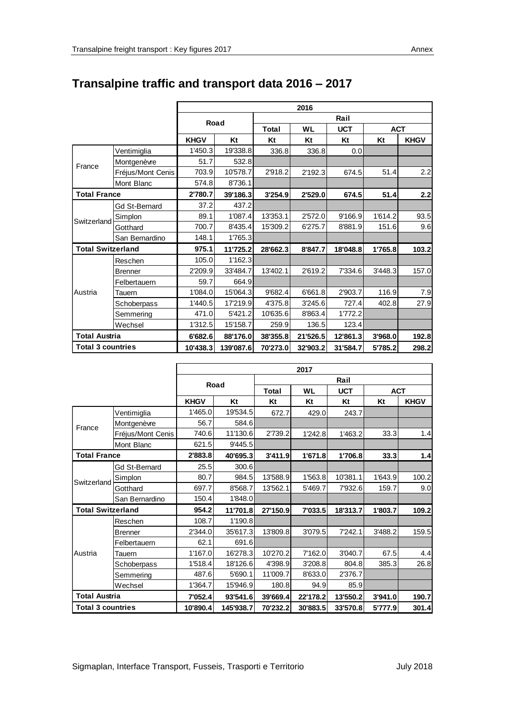|                          |                   | 2016        |           |              |           |            |            |             |  |
|--------------------------|-------------------|-------------|-----------|--------------|-----------|------------|------------|-------------|--|
|                          |                   |             |           | Rail         |           |            |            |             |  |
|                          |                   | Road        |           | <b>Total</b> | <b>WL</b> | <b>UCT</b> | <b>ACT</b> |             |  |
|                          |                   | <b>KHGV</b> | Kt        | Kt           | Kt        | Kt         | Kt         | <b>KHGV</b> |  |
|                          | Ventimiglia       | 1'450.3     | 19'338.8  | 336.8        | 336.8     | 0.0        |            |             |  |
| France                   | Montgenèvre       | 51.7        | 532.8     |              |           |            |            |             |  |
|                          | Fréjus/Mont Cenis | 703.9       | 10'578.7  | 2'918.2      | 2'192.3   | 674.5      | 51.4       | 2.2         |  |
|                          | Mont Blanc        | 574.8       | 8'736.1   |              |           |            |            |             |  |
| <b>Total France</b>      |                   | 2'780.7     | 39'186.3  | 3'254.9      | 2'529.0   | 674.5      | 51.4       | 2.2         |  |
|                          | Gd St-Bernard     | 37.2        | 437.2     |              |           |            |            |             |  |
|                          | Simplon           | 89.1        | 1'087.4   | 13'353.1     | 2'572.0   | 9'166.9    | 1'614.2    | 93.5        |  |
| Switzerland              | Gotthard          | 700.7       | 8'435.4   | 15'309.2     | 6'275.7   | 8'881.9    | 151.6      | 9.6         |  |
|                          | San Bernardino    | 148.1       | 1'765.3   |              |           |            |            |             |  |
| <b>Total Switzerland</b> |                   | 975.1       | 11'725.2  | 28'662.3     | 8'847.7   | 18'048.8   | 1'765.8    | 103.2       |  |
| Austria                  | Reschen           | 105.0       | 1'162.3   |              |           |            |            |             |  |
|                          | <b>Brenner</b>    | 2'209.9     | 33'484.7  | 13'402.1     | 2'619.2   | 7'334.6    | 3'448.3    | 157.0       |  |
|                          | Felbertauern      | 59.7        | 664.9     |              |           |            |            |             |  |
|                          | Tauern            | 1'084.0     | 15'064.3  | 9'682.4      | 6'661.8   | 2'903.7    | 116.9      | 7.9         |  |
|                          | Schoberpass       | 1'440.5     | 17'219.9  | 4'375.8      | 3'245.6   | 727.4      | 402.8      | 27.9        |  |
|                          | Semmering         | 471.0       | 5'421.2   | 10'635.6     | 8'863.4   | 1'772.2    |            |             |  |
|                          | Wechsel           | 1'312.5     | 15'158.7  | 259.9        | 136.5     | 123.4      |            |             |  |
| <b>Total Austria</b>     |                   | 6'682.6     | 88'176.0  | 38'355.8     | 21'526.5  | 12'861.3   | 3'968.0    | 192.8       |  |
| <b>Total 3 countries</b> |                   | 10'438.3    | 139'087.6 | 70'273.0     | 32'903.2  | 31'584.7   | 5'785.2    | 298.2       |  |

# **Transalpine traffic and transport data 2016 – 2017**

|                          |                   | 2017        |           |              |                         |          |            |             |  |
|--------------------------|-------------------|-------------|-----------|--------------|-------------------------|----------|------------|-------------|--|
|                          |                   |             |           | Rail         |                         |          |            |             |  |
|                          |                   | Road        |           | <b>Total</b> | <b>UCT</b><br><b>WL</b> |          | <b>ACT</b> |             |  |
|                          |                   | <b>KHGV</b> | Kt        | Kt           | Kt                      | Kt       | Kt         | <b>KHGV</b> |  |
| France                   | Ventimiglia       | 1'465.0     | 19'534.5  | 672.7        | 429.0                   | 243.7    |            |             |  |
|                          | Montgenèvre       | 56.7        | 584.6     |              |                         |          |            |             |  |
|                          | Fréjus/Mont Cenis | 740.6       | 11'130.6  | 2'739.2      | 1'242.8                 | 1'463.2  | 33.3       | 1.4         |  |
|                          | Mont Blanc        | 621.5       | 9'445.5   |              |                         |          |            |             |  |
| <b>Total France</b>      |                   | 2'883.8     | 40'695.3  | 3'411.9      | 1'671.8                 | 1'706.8  | 33.3       | 1.4         |  |
|                          | Gd St-Bernard     | 25.5        | 300.6     |              |                         |          |            |             |  |
|                          | Simplon           | 80.7        | 984.5     | 13'588.9     | 1'563.8                 | 10'381.1 | 1'643.9    | 100.2       |  |
| Switzerland              | Gotthard          | 697.7       | 8'568.7   | 13'562.1     | 5'469.7                 | 7'932.6  | 159.7      | 9.0         |  |
|                          | San Bernardino    | 150.4       | 1'848.0   |              |                         |          |            |             |  |
| <b>Total Switzerland</b> |                   | 954.2       | 11'701.8  | 27'150.9     | 7'033.5                 | 18'313.7 | 1'803.7    | 109.2       |  |
| Austria                  | Reschen           | 108.7       | 1'190.8   |              |                         |          |            |             |  |
|                          | <b>Brenner</b>    | 2'344.0     | 35'617.3  | 13'809.8     | 3'079.5                 | 7'242.1  | 3'488.2    | 159.5       |  |
|                          | Felbertauern      | 62.1        | 691.6     |              |                         |          |            |             |  |
|                          | Tauern            | 1'167.0     | 16'278.3  | 10'270.2     | 7'162.0                 | 3'040.7  | 67.5       | 4.4         |  |
|                          | Schoberpass       | 1'518.4     | 18'126.6  | 4'398.9      | 3'208.8                 | 804.8    | 385.3      | 26.8        |  |
|                          | Semmering         | 487.6       | 5'690.1   | 11'009.7     | 8'633.0                 | 2'376.7  |            |             |  |
|                          | Wechsel           | 1'364.7     | 15'946.9  | 180.8        | 94.9                    | 85.9     |            |             |  |
| <b>Total Austria</b>     |                   | 7'052.4     | 93'541.6  | 39'669.4     | 22'178.2                | 13'550.2 | 3'941.0    | 190.7       |  |
| <b>Total 3 countries</b> |                   | 10'890.4    | 145'938.7 | 70'232.2     | 30'883.5                | 33'570.8 | 5'777.9    | 301.4       |  |